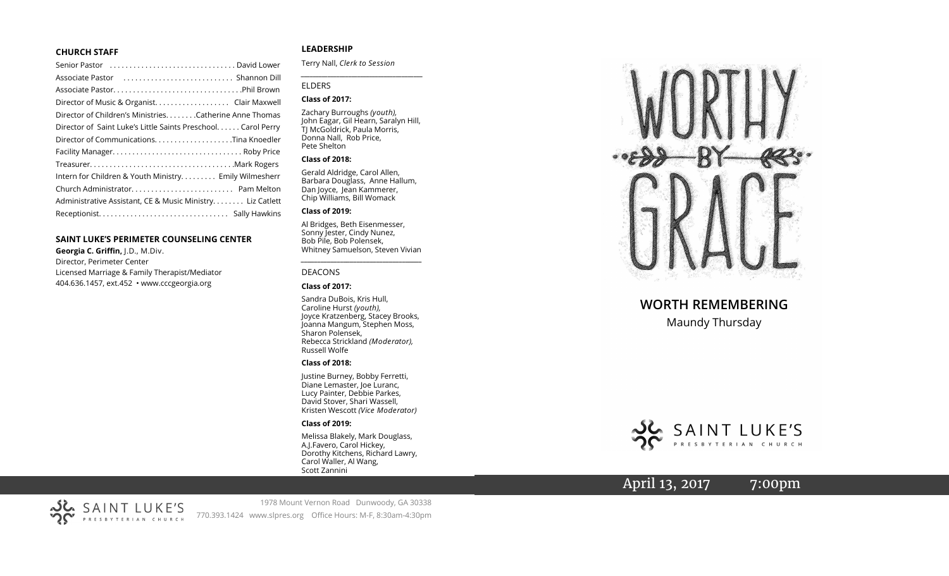#### **CHURCH STAFF**

| Senior Pastor (all contained according to the series contained and Lower |
|--------------------------------------------------------------------------|
|                                                                          |
|                                                                          |
|                                                                          |
| Director of Children's Ministries. Catherine Anne Thomas                 |
| Director of Saint Luke's Little Saints Preschool. Carol Perry            |
| Director of CommunicationsTina Knoedler                                  |
|                                                                          |
|                                                                          |
| Intern for Children & Youth Ministry Emily Wilmesherr                    |
|                                                                          |
| Administrative Assistant, CE & Music Ministry Liz Catlett                |
|                                                                          |
|                                                                          |

#### **SAINT LUKE 'S PERIMETER COUNSELING CENTER**

**Georgia C. Griffin,** J.D., M.Div. Director, Perimeter Center Licensed Marriage & Family Therapist/Mediator 404.636.1457, ext.452 • www.cccgeorgia.org

### **LEADERSHIP**

Terry Nall, *Clerk to Session*

#### ELDERS

#### **Class of 2017:**

Zachary Burroughs *(youth),*  John Eagar, Gil Hearn, Saralyn Hill, TJ McGoldrick, Paula Morris, Donna Nall, Rob Price, Pete Shelton

*\_\_\_\_\_\_\_\_\_\_\_\_\_\_\_\_\_\_\_\_\_\_\_\_\_\_\_\_\_\_\_\_\_\_\_\_\_\_\_\_\_*

#### **Class of 2018:**

Gerald Aldridge, Carol Allen, Barbara Douglass, Anne Hallum, Dan Joyce, Jean Kammerer, Chip Williams, Bill Womack

#### **Class of 2019:**

Al Bridges, Beth Eisenmesser, Sonny Jester, Cindy Nunez, Bob Pile, Bob Polensek, Whitney Samuelson, Steven Vivian

*\_\_\_\_\_\_\_\_\_\_\_\_\_\_\_\_\_\_\_\_\_\_\_\_\_\_\_\_\_\_\_\_\_\_\_\_\_*

#### DEACONS

#### **Class of 2017:**

Sandra DuBois, Kris Hull, Caroline Hurst *(youth),* Joyce Kratzenberg, Stacey Brooks, Joanna Mangum, Stephen Moss, Sharon Polensek, Rebecca Strickland *(Moderator),*  Russell Wolfe

#### **Class of 2018:**

Justine Burney, Bobby Ferretti, Diane Lemaster, Joe Luranc, Lucy Painter, Debbie Parkes, David Stover, Shari Wassell, Kristen Wescott *(Vice Moderator)*

#### **Class of 2019:**

Melissa Blakely, Mark Douglass, A.J.Favero, Carol Hickey, Dorothy Kitchens, Richard Lawry, Carol Waller, Al Wang, Scott Zannini



# **WORTH REMEMBERING**

Maundy Thursday



# April 13, 2017 7:00pm

1978 Mount Vernon Road Dunwoody, GA 30338 770.393.1424 www.slpres.org Office Hours: M -F, 8:30am -4:30pm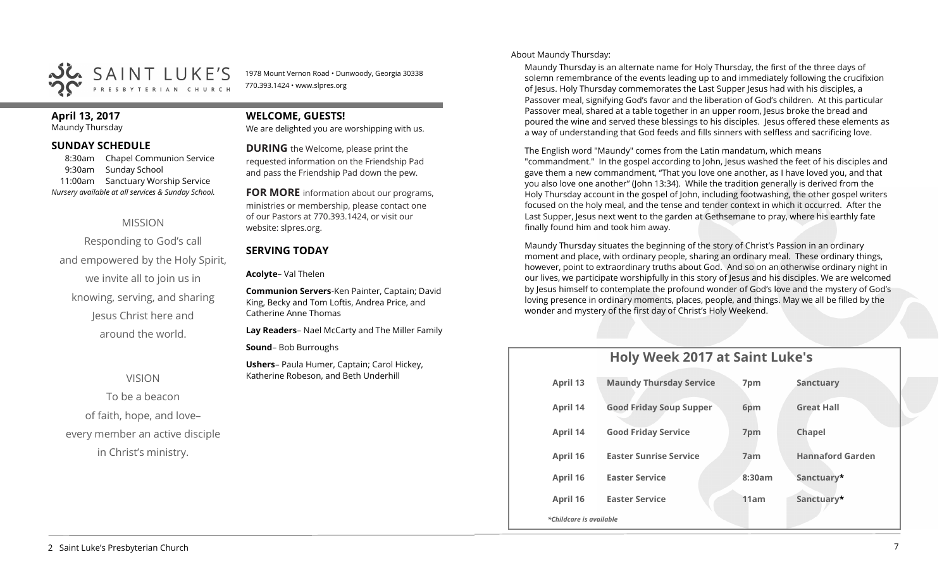

1978 Mount Vernon Road • Dunwoody, Georgia 30338 770.393.1424 • www.slpres.org

# **April 13, 2017**

Maundy Thursday

### **SUNDAY SCHEDULE**

8:30am Chapel Communion Service 9:30am Sunday School 11:00am Sanctuary Worship Service *Nursery available at all services & Sunday School.* 

# MISSION

Responding to God's call and empowered by the Holy Spirit, we invite all to join us in knowing, serving, and sharing Jesus Christ here and around the world.

## VISION

To be a beacon of faith, hope, and love– every member an active disciple in Christ's ministry.

# **WELCOME, GUESTS!**

We are delighted you are worshipping with us.

**DURING** the Welcome, please print the requested information on the Friendship Pad and pass the Friendship Pad down the pew.

**FOR MORE** information about our programs, ministries or membership, please contact one of our Pastors at 770.393.1424, or visit our website: slpres.org.

# **SERVING TODAY**

**Acolyte**– Val Thelen

**Communion Servers**-Ken Painter, Captain; David King, Becky and Tom Loftis, Andrea Price, and Catherine Anne Thomas

**Lay Readers**– Nael McCarty and The Miller Family

**Sound**– Bob Burroughs

**Ushers**– Paula Humer, Captain; Carol Hickey, Katherine Robeson, and Beth Underhill

About Maundy Thursday:

Maundy Thursday is an alternate name for Holy Thursday, the first of the three days of solemn remembrance of the events leading up to and immediately following the crucifixion of Jesus. Holy Thursday commemorates the Last Supper Jesus had with his disciples, a Passover meal, signifying God's favor and the liberation of God's children. At this particular Passover meal, shared at a table together in an upper room, Jesus broke the bread and poured the wine and served these blessings to his disciples. Jesus offered these elements as a way of understanding that God feeds and fills sinners with selfless and sacrificing love.

The English word "Maundy" comes from the Latin mandatum, which means "commandment." In the gospel according to John, Jesus washed the feet of his disciples and gave them a new commandment, "That you love one another, as I have loved you, and that you also love one another" (John 13:34). While the tradition generally is derived from the Holy Thursday account in the gospel of John, including footwashing, the other gospel writers focused on the holy meal, and the tense and tender context in which it occurred. After the Last Supper, Jesus next went to the garden at Gethsemane to pray, where his earthly fate finally found him and took him away.

Maundy Thursday situates the beginning of the story of Christ's Passion in an ordinary moment and place, with ordinary people, sharing an ordinary meal. These ordinary things, however, point to extraordinary truths about God. And so on an otherwise ordinary night in our lives, we participate worshipfully in this story of Jesus and his disciples. We are welcomed by Jesus himself to contemplate the profound wonder of God's love and the mystery of God's loving presence in ordinary moments, places, people, and things. May we all be filled by the wonder and mystery of the first day of Christ's Holy Weekend.

# **Holy Week 2017 at Saint Luke's**

| April 13                | <b>Maundy Thursday Service</b> | 7pm    | <b>Sanctuary</b>        |  |  |  |
|-------------------------|--------------------------------|--------|-------------------------|--|--|--|
| April 14                | <b>Good Friday Soup Supper</b> | 6pm    | <b>Great Hall</b>       |  |  |  |
| April 14                | <b>Good Friday Service</b>     | 7pm    | Chapel                  |  |  |  |
| April 16                | <b>Easter Sunrise Service</b>  | 7am    | <b>Hannaford Garden</b> |  |  |  |
| April 16                | <b>Easter Service</b>          | 8:30am | Sanctuary*              |  |  |  |
| April 16                | <b>Easter Service</b>          | 11am   | Sanctuary*              |  |  |  |
| *Childcare is available |                                |        |                         |  |  |  |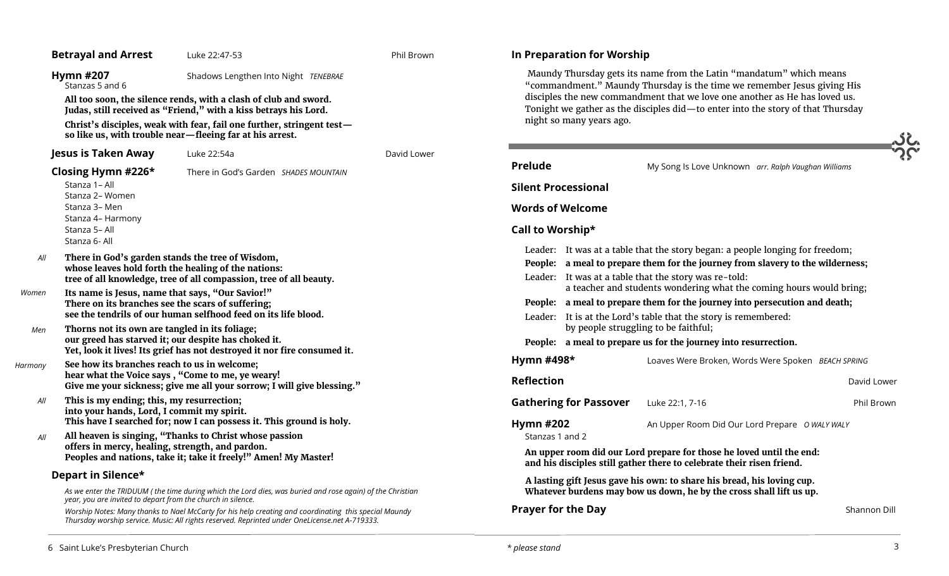|                                              | <b>Betrayal and Arrest</b>                                                                                                                                                                                                                                                                                                                                                                                                                                                                                                                  | Luke 22:47-53                                                                                                                                                                                                                                                                                                                                                                                                                                                                                                                                                                                                                                                                                               | Phil Brown  | In Preparation for Worship                                                                                                                                                                                                                                                                                                                  |                                                                                                                                                                                                                                                                                                                                                                                                                                                                                                                                                                                                                                                                                                                                                              |               |
|----------------------------------------------|---------------------------------------------------------------------------------------------------------------------------------------------------------------------------------------------------------------------------------------------------------------------------------------------------------------------------------------------------------------------------------------------------------------------------------------------------------------------------------------------------------------------------------------------|-------------------------------------------------------------------------------------------------------------------------------------------------------------------------------------------------------------------------------------------------------------------------------------------------------------------------------------------------------------------------------------------------------------------------------------------------------------------------------------------------------------------------------------------------------------------------------------------------------------------------------------------------------------------------------------------------------------|-------------|---------------------------------------------------------------------------------------------------------------------------------------------------------------------------------------------------------------------------------------------------------------------------------------------------------------------------------------------|--------------------------------------------------------------------------------------------------------------------------------------------------------------------------------------------------------------------------------------------------------------------------------------------------------------------------------------------------------------------------------------------------------------------------------------------------------------------------------------------------------------------------------------------------------------------------------------------------------------------------------------------------------------------------------------------------------------------------------------------------------------|---------------|
|                                              | <b>Hymn #207</b><br>Shadows Lengthen Into Night TENEBRAE<br>Stanzas 5 and 6<br>All too soon, the silence rends, with a clash of club and sword.<br>Judas, still received as "Friend," with a kiss betrays his Lord.                                                                                                                                                                                                                                                                                                                         |                                                                                                                                                                                                                                                                                                                                                                                                                                                                                                                                                                                                                                                                                                             |             | Maundy Thursday gets its name from the Latin "mandatum" which means<br>"commandment." Maundy Thursday is the time we remember Jesus giving His<br>disciples the new commandment that we love one another as He has loved us.<br>Tonight we gather as the disciples did-to enter into the story of that Thursday<br>night so many years ago. |                                                                                                                                                                                                                                                                                                                                                                                                                                                                                                                                                                                                                                                                                                                                                              |               |
|                                              | Christ's disciples, weak with fear, fail one further, stringent test-<br>so like us, with trouble near-fleeing far at his arrest.                                                                                                                                                                                                                                                                                                                                                                                                           |                                                                                                                                                                                                                                                                                                                                                                                                                                                                                                                                                                                                                                                                                                             |             |                                                                                                                                                                                                                                                                                                                                             |                                                                                                                                                                                                                                                                                                                                                                                                                                                                                                                                                                                                                                                                                                                                                              |               |
|                                              | <b>Jesus is Taken Away</b>                                                                                                                                                                                                                                                                                                                                                                                                                                                                                                                  | Luke 22:54a                                                                                                                                                                                                                                                                                                                                                                                                                                                                                                                                                                                                                                                                                                 | David Lower |                                                                                                                                                                                                                                                                                                                                             |                                                                                                                                                                                                                                                                                                                                                                                                                                                                                                                                                                                                                                                                                                                                                              |               |
| All<br>Women<br>Men<br>Harmony<br>All<br>All | Closing Hymn #226*<br>Stanza 1- All<br>Stanza 2- Women<br>Stanza 3- Men<br>Stanza 4- Harmony<br>Stanza 5- All<br>Stanza 6- All<br>There in God's garden stands the tree of Wisdom,<br>Its name is Jesus, name that says, "Our Savior!"<br>There on its branches see the scars of suffering;<br>Thorns not its own are tangled in its foliage;<br>See how its branches reach to us in welcome;<br>This is my ending; this, my resurrection;<br>into your hands, Lord, I commit my spirit.<br>offers in mercy, healing, strength, and pardon. | There in God's Garden SHADES MOUNTAIN<br>whose leaves hold forth the healing of the nations:<br>tree of all knowledge, tree of all compassion, tree of all beauty.<br>see the tendrils of our human selfhood feed on its life blood.<br>our greed has starved it; our despite has choked it.<br>Yet, look it lives! Its grief has not destroyed it nor fire consumed it.<br>hear what the Voice says, "Come to me, ye weary!<br>Give me your sickness; give me all your sorrow; I will give blessing."<br>This have I searched for; now I can possess it. This ground is holy.<br>All heaven is singing, "Thanks to Christ whose passion<br>Peoples and nations, take it; take it freely!" Amen! My Master! |             | <b>Prelude</b><br><b>Silent Processional</b><br><b>Words of Welcome</b><br>Call to Worship*<br>Leader: It was at a table that the story was re-told:<br>Hymn #498*<br><b>Reflection</b><br><b>Gathering for Passover</b><br><b>Hymn #202</b><br>Stanzas 1 and 2                                                                             | My Song Is Love Unknown arr. Ralph Vaughan Williams<br>Leader: It was at a table that the story began: a people longing for freedom;<br>People: a meal to prepare them for the journey from slavery to the wilderness;<br>a teacher and students wondering what the coming hours would bring;<br>People: a meal to prepare them for the journey into persecution and death;<br>Leader: It is at the Lord's table that the story is remembered:<br>by people struggling to be faithful;<br>People: a meal to prepare us for the journey into resurrection.<br>Loaves Were Broken, Words Were Spoken BEACH SPRING<br>Luke 22:1, 7-16<br>An Upper Room Did Our Lord Prepare O WALY WALY<br>An upper room did our Lord prepare for those he loved until the end: | David<br>Phil |
|                                              | Depart in Silence*                                                                                                                                                                                                                                                                                                                                                                                                                                                                                                                          |                                                                                                                                                                                                                                                                                                                                                                                                                                                                                                                                                                                                                                                                                                             |             |                                                                                                                                                                                                                                                                                                                                             | and his disciples still gather there to celebrate their risen friend.                                                                                                                                                                                                                                                                                                                                                                                                                                                                                                                                                                                                                                                                                        |               |
|                                              | As we enter the TRIDUUM (the time during which the Lord dies, was buried and rose again) of the Christian<br>year, you are invited to depart from the church in silence.                                                                                                                                                                                                                                                                                                                                                                    |                                                                                                                                                                                                                                                                                                                                                                                                                                                                                                                                                                                                                                                                                                             |             | A lasting gift Jesus gave his own: to share his bread, his loving cup.<br>Whatever burdens may bow us down, he by the cross shall lift us up.                                                                                                                                                                                               |                                                                                                                                                                                                                                                                                                                                                                                                                                                                                                                                                                                                                                                                                                                                                              |               |
|                                              |                                                                                                                                                                                                                                                                                                                                                                                                                                                                                                                                             | Worship Notes: Many thanks to Nael McCarty for his help creating and coordinating this special Maundy<br>Thursday worship service. Music: All rights reserved. Reprinted under OneLicense.net A-719333.                                                                                                                                                                                                                                                                                                                                                                                                                                                                                                     |             | <b>Prayer for the Day</b>                                                                                                                                                                                                                                                                                                                   |                                                                                                                                                                                                                                                                                                                                                                                                                                                                                                                                                                                                                                                                                                                                                              | Shann         |
|                                              |                                                                                                                                                                                                                                                                                                                                                                                                                                                                                                                                             |                                                                                                                                                                                                                                                                                                                                                                                                                                                                                                                                                                                                                                                                                                             |             |                                                                                                                                                                                                                                                                                                                                             |                                                                                                                                                                                                                                                                                                                                                                                                                                                                                                                                                                                                                                                                                                                                                              |               |

**David Lower** 

**Phil Brown** 

**Shannon Dill**